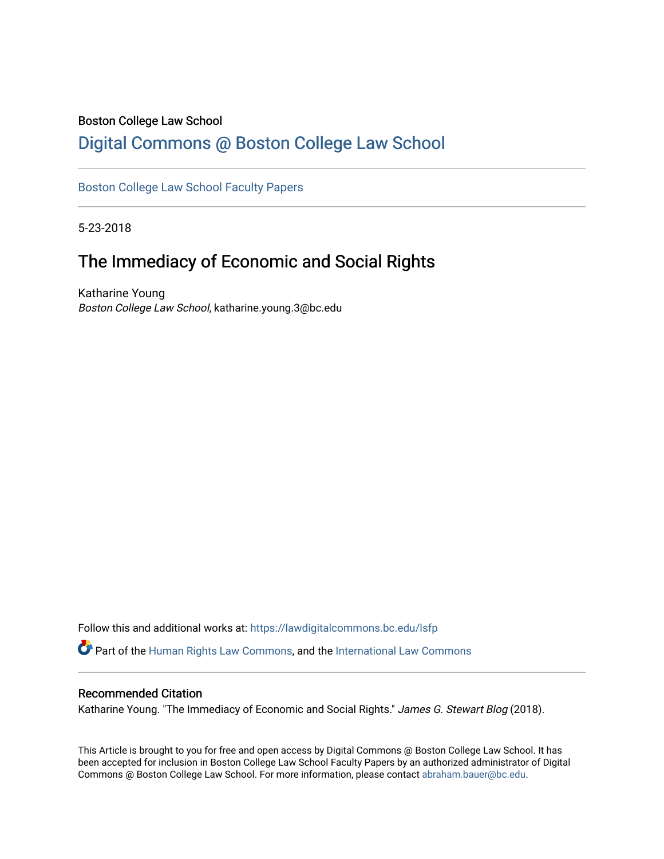### Boston College Law School

# [Digital Commons @ Boston College Law School](https://lawdigitalcommons.bc.edu/)

## [Boston College Law School Faculty Papers](https://lawdigitalcommons.bc.edu/lsfp)

5-23-2018

# The Immediacy of Economic and Social Rights

Katharine Young Boston College Law School, katharine.young.3@bc.edu

Follow this and additional works at: [https://lawdigitalcommons.bc.edu/lsfp](https://lawdigitalcommons.bc.edu/lsfp?utm_source=lawdigitalcommons.bc.edu%2Flsfp%2F1219&utm_medium=PDF&utm_campaign=PDFCoverPages)  Part of the [Human Rights Law Commons,](http://network.bepress.com/hgg/discipline/847?utm_source=lawdigitalcommons.bc.edu%2Flsfp%2F1219&utm_medium=PDF&utm_campaign=PDFCoverPages) and the [International Law Commons](http://network.bepress.com/hgg/discipline/609?utm_source=lawdigitalcommons.bc.edu%2Flsfp%2F1219&utm_medium=PDF&utm_campaign=PDFCoverPages) 

#### Recommended Citation

Katharine Young. "The Immediacy of Economic and Social Rights." James G. Stewart Blog (2018).

This Article is brought to you for free and open access by Digital Commons @ Boston College Law School. It has been accepted for inclusion in Boston College Law School Faculty Papers by an authorized administrator of Digital Commons @ Boston College Law School. For more information, please contact [abraham.bauer@bc.edu.](mailto:abraham.bauer@bc.edu)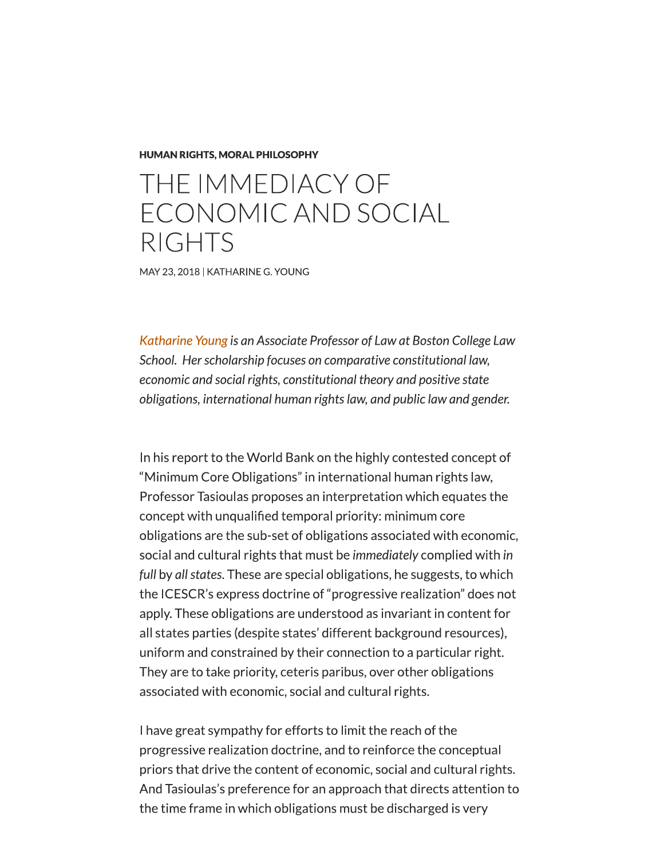#### **HUMAN RIGHTS, MORAL PHILOSOPHY**

# THE IMMEDIACY OF ECONOMIC AND SOCIAL **RIGHTS**

MAY 23, 2018 | KATHARINE G. YOUNG

Katharine Young is an Associate Professor of Law at Boston College Law School. Her scholarship focuses on comparative constitutional law, economic and social rights, constitutional theory and positive state obligations, international human rights law, and public law and gender.

In his report to the World Bank on the highly contested concept of "Minimum Core Obligations" in international human rights law, Professor Tasioulas proposes an interpretation which equates the concept with unqualified temporal priority: minimum core obligations are the sub-set of obligations associated with economic, social and cultural rights that must be immediately complied with in full by all states. These are special obligations, he suggests, to which the ICESCR's express doctrine of "progressive realization" does not apply. These obligations are understood as invariant in content for all states parties (despite states' different background resources), uniform and constrained by their connection to a particular right. They are to take priority, ceteris paribus, over other obligations associated with economic, social and cultural rights.

I have great sympathy for efforts to limit the reach of the progressive realization doctrine, and to reinforce the conceptual priors that drive the content of economic, social and cultural rights. And Tasioulas's preference for an approach that directs attention to the time frame in which obligations must be discharged is very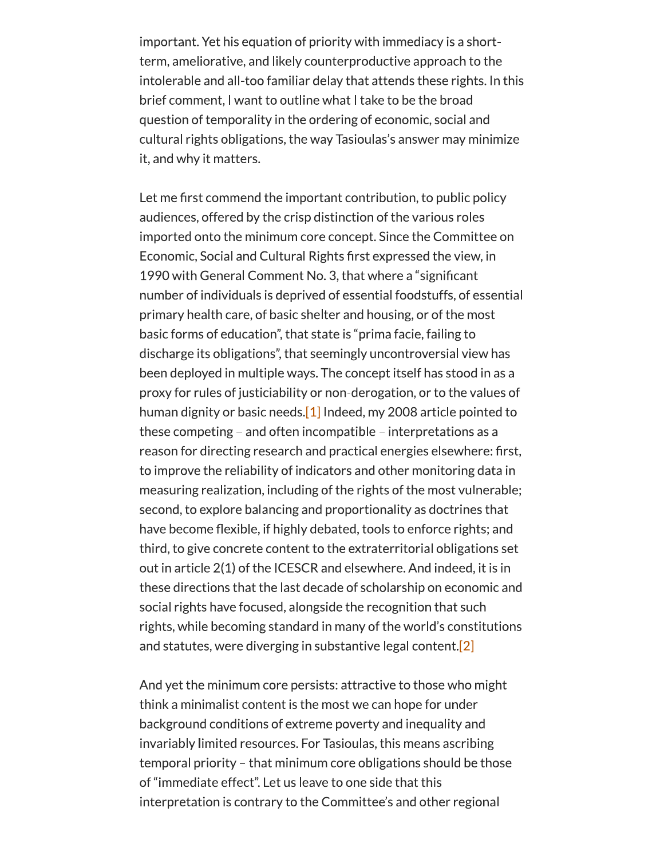important. Yet his equation of priority with immediacy is a shortterm, ameliorative, and likely counterproductive approach to the intolerable and all-too familiar delay that attends these rights. In this brief comment, I want to outline what I take to be the broad question of temporality in the ordering of economic, social and cultural rights obligations, the way Tasioulas's answer may minimize it, and why it matters.

Let me first commend the important contribution, to public policy audiences, offered by the crisp distinction of the various roles imported onto the minimum core concept. Since the Committee on Economic, Social and Cultural Rights first expressed the view, in 1990 with General Comment No. 3, that where a "significant" number of individuals is deprived of essential foodstuffs, of essential primary health care, of basic shelter and housing, or of the most basic forms of education", that state is "prima facie, failing to discharge its obligations", that seemingly uncontroversial view has been deployed in multiple ways. The concept itself has stood in as a proxy for rules of justiciability or non-derogation, or to the values of human dignity or basic needs.<sup>[1]</sup> Indeed, my 2008 article pointed to these competing  $-$  and often incompatible  $-$  interpretations as a reason for directing research and practical energies elsewhere: first, to improve the reliability of indicators and other monitoring data in measuring realization, including of the rights of the most vulnerable; second, to explore balancing and proportionality as doctrines that have become flexible, if highly debated, tools to enforce rights; and third, to give concrete content to the extraterritorial obligations set out in article 2(1) of the ICESCR and elsewhere. And indeed, it is in these directions that the last decade of scholarship on economic and social rights have focused, alongside the recognition that such rights, while becoming standard in many of the world's constitutions and statutes, were diverging in substantive legal content.<sup>[2]</sup>

And yet the minimum core persists: attractive to those who might think a minimalist content is the most we can hope for under background conditions of extreme poverty and inequality and invariably limited resources. For Tasioulas, this means ascribing temporal priority - that minimum core obligations should be those of "immediate effect". Let us leave to one side that this interpretation is contrary to the Committee's and other regional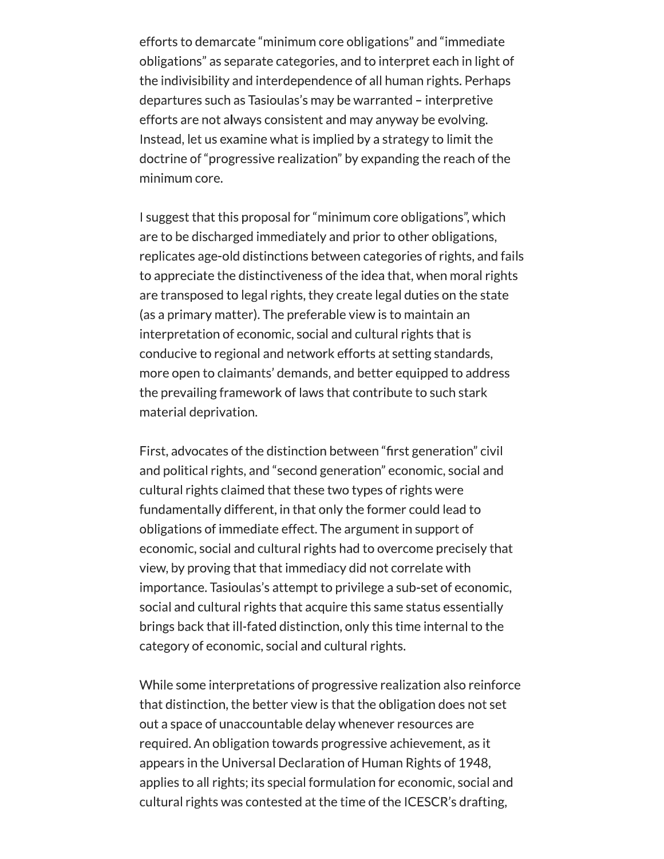efforts to demarcate "minimum core obligations" and "immediate obligations" as separate categories, and to interpret each in light of the indivisibility and interdependence of all human rights. Perhaps departures such as Tasioulas's may be warranted – interpretive efforts are not always consistent and may anyway be evolving. Instead, let us examine what is implied by a strategy to limit the doctrine of "progressive realization" by expanding the reach of the minimum core.

I suggest that this proposal for "minimum core obligations", which are to be discharged immediately and prior to other obligations, replicates age-old distinctions between categories of rights, and fails to appreciate the distinctiveness of the idea that, when moral rights are transposed to legal rights, they create legal duties on the state (as a primary matter). The preferable view is to maintain an interpretation of economic, social and cultural rights that is conducive to regional and network efforts at setting standards, more open to claimants' demands, and better equipped to address the prevailing framework of laws that contribute to such stark material deprivation.

First, advocates of the distinction between "first generation" civil and political rights, and "second generation" economic, social and cultural rights claimed that these two types of rights were fundamentally different, in that only the former could lead to obligations of immediate effect. The argument in support of economic, social and cultural rights had to overcome precisely that view, by proving that that immediacy did not correlate with importance. Tasioulas's attempt to privilege a sub-set of economic, social and cultural rights that acquire this same status essentially brings back that ill-fated distinction, only this time internal to the category of economic, social and cultural rights.

While some interpretations of progressive realization also reinforce that distinction, the better view is that the obligation does not set out a space of unaccountable delay whenever resources are required. An obligation towards progressive achievement, as it appears in the Universal Declaration of Human Rights of 1948, applies to all rights; its special formulation for economic, social and cultural rights was contested at the time of the ICESCR's drafting,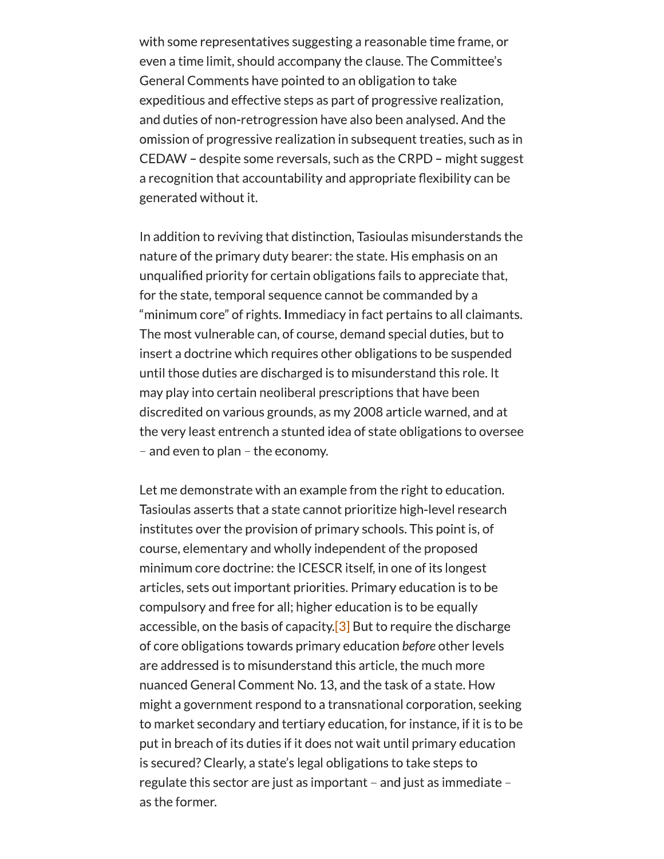with some representatives suggesting a reasonable time frame, or even a time limit, should accompany the clause. The Committee's General Comments have pointed to an obligation to take expeditious and effective steps as part of progressive realization, and duties of non-retrogression have also been analysed. And the omission of progressive realization in subsequent treaties, such as in CEDAW - despite some reversals, such as the CRPD - might suggest a recognition that accountability and appropriate flexibility can be generated without it.

In addition to reviving that distinction, Tasioulas misunderstands the nature of the primary duty bearer: the state. His emphasis on an unqualified priority for certain obligations fails to appreciate that, for the state, temporal sequence cannot be commanded by a "minimum core" of rights. Immediacy in fact pertains to all claimants. The most vulnerable can, of course, demand special duties, but to insert a doctrine which requires other obligations to be suspended until those duties are discharged is to misunderstand this role. It may play into certain neoliberal prescriptions that have been discredited on various grounds, as my 2008 article warned, and at the very least entrench a stunted idea of state obligations to oversee - and even to plan - the economy.

Let me demonstrate with an example from the right to education. Tasioulas asserts that a state cannot prioritize high-level research institutes over the provision of primary schools. This point is, of course, elementary and wholly independent of the proposed minimum core doctrine: the ICESCR itself, in one of its longest articles, sets out important priorities. Primary education is to be compulsory and free for all; higher education is to be equally accessible, on the basis of capacity.  $\boxed{3}$  But to require the discharge of core obligations towards primary education before other levels are addressed is to misunderstand this article, the much more nuanced General Comment No. 13, and the task of a state. How might a government respond to a transnational corporation, seeking to market secondary and tertiary education, for instance, if it is to be put in breach of its duties if it does not wait until primary education is secured? Clearly, a state's legal obligations to take steps to regulate this sector are just as important - and just as immediate as the former.